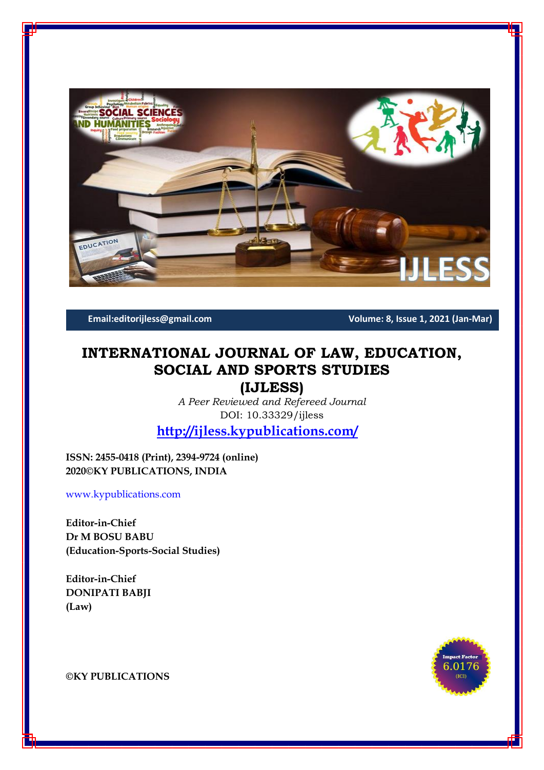

**Email:editorijless@gmail.com Volume: 8, Issue 1, 2021 (Jan-Mar)**

# **INTERNATIONAL JOURNAL OF LAW, EDUCATION, SOCIAL AND SPORTS STUDIES**

**(IJLESS)**

*A Peer Reviewed and Refereed Journal* DOI: 10.33329/ijless

**<http://ijless.kypublications.com/>**

**ISSN: 2455-0418 (Print), 2394-9724 (online) 2020©KY PUBLICATIONS, INDIA**

[www.kypublications.com](http://www.kypublications.com/)

**Editor-in-Chief Dr M BOSU BABU (Education-Sports-Social Studies)**

**Editor-in-Chief DONIPATI BABJI (Law)**



**©KY PUBLICATIONS**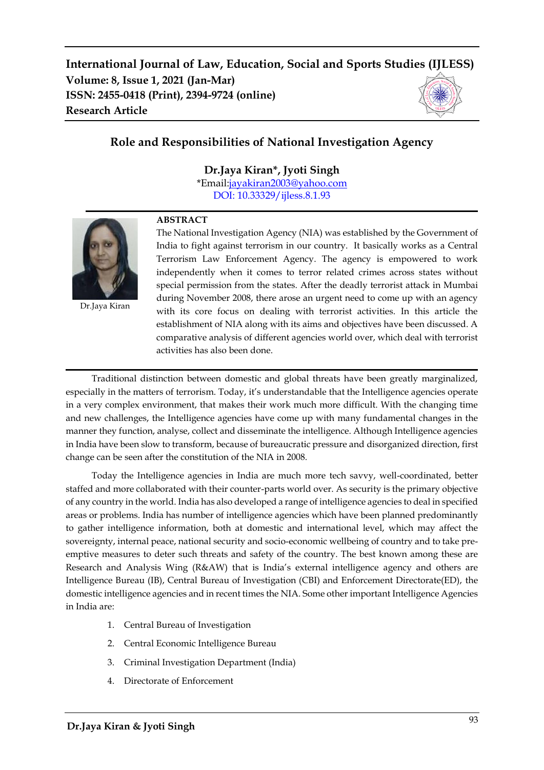# **Role and Responsibilities of National Investigation Agency**

**Dr.Jaya Kiran\*, Jyoti Singh**

\*Email[:jayakiran2003@yahoo.com](mailto:jayakiran2003@yahoo.com) [DOI: 10.33329/ijless.8.1.9](http://ijless.kypublications.com/)3



Dr.Jaya Kiran

#### **ABSTRACT**

The National Investigation Agency (NIA) was established by the Government of India to fight against terrorism in our country. It basically works as a Central Terrorism Law Enforcement Agency. The agency is empowered to work independently when it comes to terror related crimes across states without special permission from the states. After the deadly terrorist attack in Mumbai during November 2008, there arose an urgent need to come up with an agency with its core focus on dealing with terrorist activities. In this article the establishment of NIA along with its aims and objectives have been discussed. A comparative analysis of different agencies world over, which deal with terrorist activities has also been done.

Traditional distinction between domestic and global threats have been greatly marginalized, especially in the matters of terrorism. Today, it's understandable that the Intelligence agencies operate in a very complex environment, that makes their work much more difficult. With the changing time and new challenges, the Intelligence agencies have come up with many fundamental changes in the manner they function, analyse, collect and disseminate the intelligence. Although Intelligence agencies in India have been slow to transform, because of bureaucratic pressure and disorganized direction, first change can be seen after the constitution of the NIA in 2008.

Today the Intelligence agencies in India are much more tech savvy, well-coordinated, better staffed and more collaborated with their counter-parts world over. As security is the primary objective of any country in the world. India has also developed a range of intelligence agencies to deal in specified areas or problems. India has number of intelligence agencies which have been planned predominantly to gather intelligence information, both at domestic and international level, which may affect the sovereignty, internal peace, national security and socio-economic wellbeing of country and to take preemptive measures to deter such threats and safety of the country. The best known among these are Research and Analysis Wing (R&AW) that is India's external intelligence agency and others are Intelligence Bureau (IB), Central Bureau of Investigation (CBI) and Enforcement Directorate(ED), the domestic intelligence agencies and in recent times the NIA. Some other important Intelligence Agencies in India are:

- 1. Central Bureau of Investigation
- 2. Central Economic Intelligence Bureau
- 3. Criminal Investigation Department (India)
- 4. Directorate of Enforcement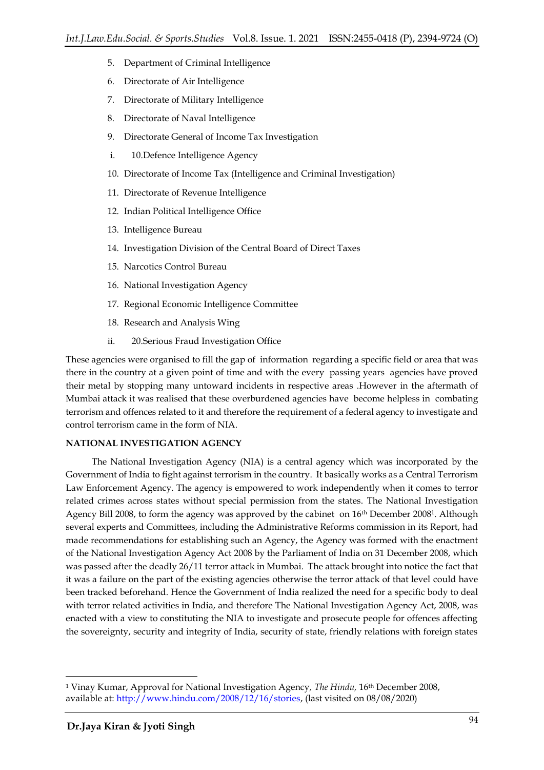- 5. Department of Criminal Intelligence
- 6. Directorate of Air Intelligence
- 7. Directorate of Military Intelligence
- 8. Directorate of Naval Intelligence
- 9. Directorate General of Income Tax Investigation
- i. 10.Defence Intelligence Agency
- 10. Directorate of Income Tax (Intelligence and Criminal Investigation)
- 11. Directorate of Revenue Intelligence
- 12. Indian Political Intelligence Office
- 13. Intelligence Bureau
- 14. Investigation Division of the Central Board of Direct Taxes
- 15. Narcotics Control Bureau
- 16. National Investigation Agency
- 17. Regional Economic Intelligence Committee
- 18. Research and Analysis Wing
- ii. 20.Serious Fraud Investigation Office

These agencies were organised to fill the gap of information regarding a specific field or area that was there in the country at a given point of time and with the every passing years agencies have proved their metal by stopping many untoward incidents in respective areas .However in the aftermath of Mumbai attack it was realised that these overburdened agencies have become helpless in combating terrorism and offences related to it and therefore the requirement of a federal agency to investigate and control terrorism came in the form of NIA.

#### **NATIONAL INVESTIGATION AGENCY**

The National Investigation Agency (NIA) is a central agency which was incorporated by the Government of India to fight against terrorism in the country. It basically works as a Central Terrorism Law Enforcement Agency. The agency is empowered to work independently when it comes to terror related crimes across states without special permission from the states. The National Investigation Agency Bill 2008, to form the agency was approved by the cabinet on 16<sup>th</sup> December 2008<sup>1</sup>. Although several experts and Committees, including the Administrative Reforms commission in its Report, had made recommendations for establishing such an Agency, the Agency was formed with the enactment of the National Investigation Agency Act 2008 by the Parliament of India on 31 December 2008, which was passed after the deadly 26/11 terror attack in Mumbai. The attack brought into notice the fact that it was a failure on the part of the existing agencies otherwise the terror attack of that level could have been tracked beforehand. Hence the Government of India realized the need for a specific body to deal with terror related activities in India, and therefore The National Investigation Agency Act, 2008, was enacted with a view to constituting the NIA to investigate and prosecute people for offences affecting the sovereignty, security and integrity of India, security of state, friendly relations with foreign states

<sup>1</sup> Vinay Kumar, Approval for National Investigation Agency*, The Hindu,* 16th December 2008, available at: [http://www.hindu.com/2008/12/16/stories,](http://www.hindu.com/2008/12/16/stories) (last visited on 08/08/2020)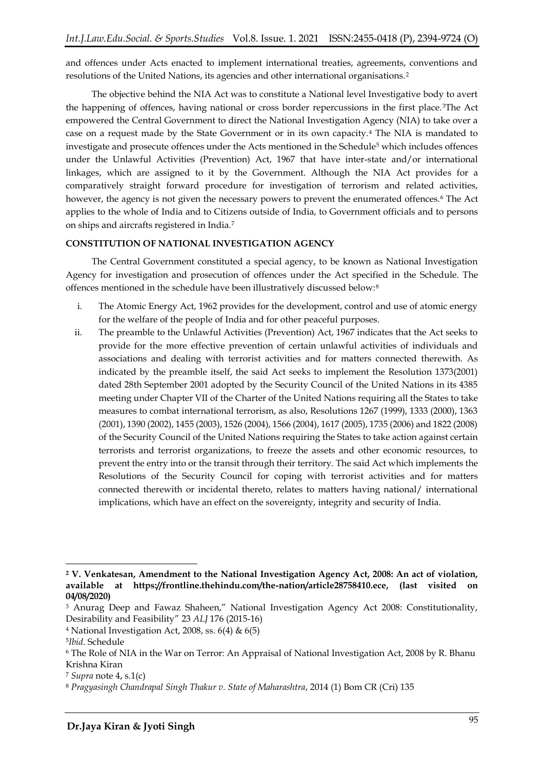and offences under Acts enacted to implement international treaties, agreements, conventions and resolutions of the United Nations, its agencies and other international organisations.<sup>2</sup>

The objective behind the NIA Act was to constitute a National level Investigative body to avert the happening of offences, having national or cross border repercussions in the first place.3The Act empowered the Central Government to direct the National Investigation Agency (NIA) to take over a case on a request made by the State Government or in its own capacity.<sup>4</sup> The NIA is mandated to investigate and prosecute offences under the Acts mentioned in the Schedule<sup>5</sup> which includes offences under the Unlawful Activities (Prevention) Act, 1967 that have inter-state and/or international linkages, which are assigned to it by the Government. Although the NIA Act provides for a comparatively straight forward procedure for investigation of terrorism and related activities, however, the agency is not given the necessary powers to prevent the enumerated offences.<sup>6</sup> The Act applies to the whole of India and to Citizens outside of India, to Government officials and to persons on ships and aircrafts registered in India.<sup>7</sup>

### **CONSTITUTION OF NATIONAL INVESTIGATION AGENCY**

The Central Government constituted a special agency, to be known as National Investigation Agency for investigation and prosecution of offences under the Act specified in the Schedule. The offences mentioned in the schedule have been illustratively discussed below:<sup>8</sup>

- i. The Atomic Energy Act, 1962 provides for the development, control and use of atomic energy for the welfare of the people of India and for other peaceful purposes.
- ii. The preamble to the Unlawful Activities (Prevention) Act, 1967 indicates that the Act seeks to provide for the more effective prevention of certain unlawful activities of individuals and associations and dealing with terrorist activities and for matters connected therewith. As indicated by the preamble itself, the said Act seeks to implement the Resolution 1373(2001) dated 28th September 2001 adopted by the Security Council of the United Nations in its 4385 meeting under Chapter VII of the Charter of the United Nations requiring all the States to take measures to combat international terrorism, as also, Resolutions 1267 (1999), 1333 (2000), 1363 (2001), 1390 (2002), 1455 (2003), 1526 (2004), 1566 (2004), 1617 (2005), 1735 (2006) and 1822 (2008) of the Security Council of the United Nations requiring the States to take action against certain terrorists and terrorist organizations, to freeze the assets and other economic resources, to prevent the entry into or the transit through their territory. The said Act which implements the Resolutions of the Security Council for coping with terrorist activities and for matters connected therewith or incidental thereto, relates to matters having national/ international implications, which have an effect on the sovereignty, integrity and security of India.

**<sup>2</sup> V. Venkatesan, Amendment to the National Investigation Agency Act, 2008: An act of violation, available at https://frontline.thehindu.com/the-nation/article28758410.ece, (last visited on 04/08/2020)**

<sup>&</sup>lt;sup>3</sup> Anurag Deep and Fawaz Shaheen," National Investigation Agency Act 2008: Constitutionality, Desirability and Feasibility" 23 *ALJ* 176 (2015-16)

<sup>&</sup>lt;sup>4</sup> National Investigation Act, 2008, ss.  $6(4)$  &  $6(5)$ 

<sup>5</sup> *Ibid*. Schedule

<sup>6</sup> The Role of NIA in the War on Terror: An Appraisal of National Investigation Act, 2008 by R. Bhanu Krishna Kiran

<sup>7</sup> *Supra* note 4, s*.*1(c)

<sup>8</sup> *Pragyasingh Chandrapal Singh Thakur v. State of Maharashtra*, 2014 (1) Bom CR (Cri) 135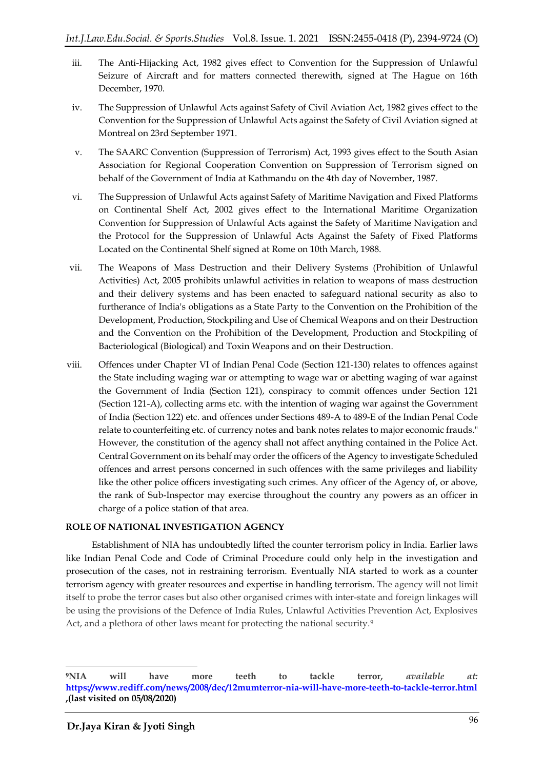- iii. The Anti-Hijacking Act, 1982 gives effect to Convention for the Suppression of Unlawful Seizure of Aircraft and for matters connected therewith, signed at The Hague on 16th December, 1970.
- iv. The Suppression of Unlawful Acts against Safety of Civil Aviation Act, 1982 gives effect to the Convention for the Suppression of Unlawful Acts against the Safety of Civil Aviation signed at Montreal on 23rd September 1971.
- v. The SAARC Convention (Suppression of Terrorism) Act, 1993 gives effect to the South Asian Association for Regional Cooperation Convention on Suppression of Terrorism signed on behalf of the Government of India at Kathmandu on the 4th day of November, 1987.
- vi. The Suppression of Unlawful Acts against Safety of Maritime Navigation and Fixed Platforms on Continental Shelf Act, 2002 gives effect to the International Maritime Organization Convention for Suppression of Unlawful Acts against the Safety of Maritime Navigation and the Protocol for the Suppression of Unlawful Acts Against the Safety of Fixed Platforms Located on the Continental Shelf signed at Rome on 10th March, 1988.
- vii. The Weapons of Mass Destruction and their Delivery Systems (Prohibition of Unlawful Activities) Act, 2005 prohibits unlawful activities in relation to weapons of mass destruction and their delivery systems and has been enacted to safeguard national security as also to furtherance of India's obligations as a State Party to the Convention on the Prohibition of the Development, Production, Stockpiling and Use of Chemical Weapons and on their Destruction and the Convention on the Prohibition of the Development, Production and Stockpiling of Bacteriological (Biological) and Toxin Weapons and on their Destruction.
- viii. Offences under Chapter VI of Indian Penal Code (Section 121-130) relates to offences against the State including waging war or attempting to wage war or abetting waging of war against the Government of India (Section 121), conspiracy to commit offences under Section 121 (Section 121-A), collecting arms etc. with the intention of waging war against the Government of India (Section 122) etc. and offences under Sections 489-A to 489-E of the Indian Penal Code relate to counterfeiting etc. of currency notes and bank notes relates to major economic frauds." However, the constitution of the agency shall not affect anything contained in the Police Act. Central Government on its behalf may order the officers of the Agency to investigate Scheduled offences and arrest persons concerned in such offences with the same privileges and liability like the other police officers investigating such crimes. Any officer of the Agency of, or above, the rank of Sub-Inspector may exercise throughout the country any powers as an officer in charge of a police station of that area.

# **ROLE OF NATIONAL INVESTIGATION AGENCY**

Establishment of NIA has undoubtedly lifted the counter terrorism policy in India. Earlier laws like Indian Penal Code and Code of Criminal Procedure could only help in the investigation and prosecution of the cases, not in restraining terrorism. Eventually NIA started to work as a counter terrorism agency with greater resources and expertise in handling terrorism. The agency will not limit itself to probe the terror cases but also other organised crimes with inter-state and foreign linkages will be using the provisions of the Defence of India Rules, Unlawful Activities Prevention Act, Explosives Act, and a plethora of other laws meant for protecting the national security.<sup>9</sup>

1

**<sup>9</sup>NIA will have more teeth to tackle terror,** *available at:* **[https://www.rediff.com/news/2008/dec/12mumterror-nia-will-have-more-teeth-to-tackle-terror.html](https://www.rediff.com/news/2008/dec/12mumterror-nia-will-have-more-teeth-to-tackle-terror.htm) ,(last visited on 05/08/2020)**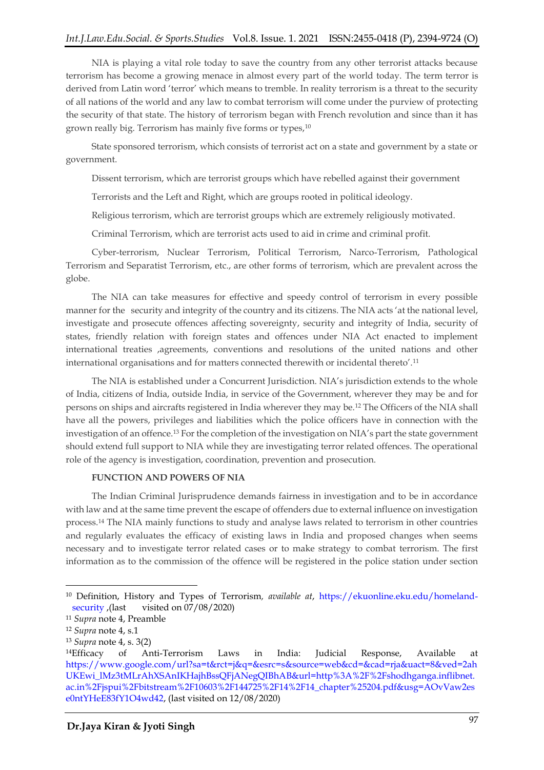# *Int.J.Law.Edu.Social. & Sports.Studies* Vol.8. Issue. 1. 2021 ISSN:2455-0418 (P), 2394-9724 (O)

NIA is playing a vital role today to save the country from any other terrorist attacks because terrorism has become a growing menace in almost every part of the world today. The term terror is derived from Latin word 'terror' which means to tremble. In reality terrorism is a threat to the security of all nations of the world and any law to combat terrorism will come under the purview of protecting the security of that state. The history of terrorism began with French revolution and since than it has grown really big. Terrorism has mainly five forms or types,<sup>10</sup>

State sponsored terrorism, which consists of terrorist act on a state and government by a state or government.

Dissent terrorism, which are terrorist groups which have rebelled against their government

Terrorists and the Left and Right, which are groups rooted in political ideology.

Religious terrorism, which are terrorist groups which are extremely religiously motivated.

Criminal Terrorism, which are terrorist acts used to aid in crime and criminal profit.

Cyber-terrorism, Nuclear Terrorism, Political Terrorism, Narco-Terrorism, Pathological Terrorism and Separatist Terrorism, etc., are other forms of terrorism, which are prevalent across the globe.

The NIA can take measures for effective and speedy control of terrorism in every possible manner for the security and integrity of the country and its citizens. The NIA acts 'at the national level, investigate and prosecute offences affecting sovereignty, security and integrity of India, security of states, friendly relation with foreign states and offences under NIA Act enacted to implement international treaties ,agreements, conventions and resolutions of the united nations and other international organisations and for matters connected therewith or incidental thereto'.<sup>11</sup>

The NIA is established under a Concurrent Jurisdiction. NIA's jurisdiction extends to the whole of India, citizens of India, outside India, in service of the Government, wherever they may be and for persons on ships and aircrafts registered in India wherever they may be.<sup>12</sup> The Officers of the NIA shall have all the powers, privileges and liabilities which the police officers have in connection with the investigation of an offence.<sup>13</sup> For the completion of the investigation on NIA's part the state government should extend full support to NIA while they are investigating terror related offences. The operational role of the agency is investigation, coordination, prevention and prosecution.

#### **FUNCTION AND POWERS OF NIA**

The Indian Criminal Jurisprudence demands fairness in investigation and to be in accordance with law and at the same time prevent the escape of offenders due to external influence on investigation process.<sup>14</sup> The NIA mainly functions to study and analyse laws related to terrorism in other countries and regularly evaluates the efficacy of existing laws in India and proposed changes when seems necessary and to investigate terror related cases or to make strategy to combat terrorism. The first information as to the commission of the offence will be registered in the police station under section

<sup>10</sup> Definition, History and Types of Terrorism*, available at*, [https://ekuonline.eku.edu/homeland](https://ekuonline.eku.edu/homeland-security)[security](https://ekuonline.eku.edu/homeland-security) ,(last visited on 07/08/2020)

<sup>11</sup> *Supra* note 4, Preamble

<sup>12</sup> *Supra* note 4, s.1

<sup>13</sup> *Supra* note 4, s. 3(2)

<sup>14</sup>Efficacy of Anti-Terrorism Laws in India: Judicial Response, Available at [https://www.google.com/url?sa=t&rct=j&q=&esrc=s&source=web&cd=&cad=rja&uact=8&ved=2ah](https://www.google.com/url?sa=t&rct=j&q=&esrc=s&source=web&cd=&cad=rja&uact=8&ved=2ahUKEwi_lMz3tMLrAhXSAnIKHajhBssQFjANegQIBhAB&url=http%3A%2F%2Fshodhganga.inflibnet.ac.in%2Fjspui%2Fbitstream%2F10603%2F144725%2F14%2F14_chapter%25204.pdf&usg=AOvVaw2ese0ntYHeE83fY1O4wd42) [UKEwi\\_lMz3tMLrAhXSAnIKHajhBssQFjANegQIBhAB&url=http%3A%2F%2Fshodhganga.inflibnet.](https://www.google.com/url?sa=t&rct=j&q=&esrc=s&source=web&cd=&cad=rja&uact=8&ved=2ahUKEwi_lMz3tMLrAhXSAnIKHajhBssQFjANegQIBhAB&url=http%3A%2F%2Fshodhganga.inflibnet.ac.in%2Fjspui%2Fbitstream%2F10603%2F144725%2F14%2F14_chapter%25204.pdf&usg=AOvVaw2ese0ntYHeE83fY1O4wd42) [ac.in%2Fjspui%2Fbitstream%2F10603%2F144725%2F14%2F14\\_chapter%25204.pdf&usg=AOvVaw2es](https://www.google.com/url?sa=t&rct=j&q=&esrc=s&source=web&cd=&cad=rja&uact=8&ved=2ahUKEwi_lMz3tMLrAhXSAnIKHajhBssQFjANegQIBhAB&url=http%3A%2F%2Fshodhganga.inflibnet.ac.in%2Fjspui%2Fbitstream%2F10603%2F144725%2F14%2F14_chapter%25204.pdf&usg=AOvVaw2ese0ntYHeE83fY1O4wd42) [e0ntYHeE83fY1O4wd42,](https://www.google.com/url?sa=t&rct=j&q=&esrc=s&source=web&cd=&cad=rja&uact=8&ved=2ahUKEwi_lMz3tMLrAhXSAnIKHajhBssQFjANegQIBhAB&url=http%3A%2F%2Fshodhganga.inflibnet.ac.in%2Fjspui%2Fbitstream%2F10603%2F144725%2F14%2F14_chapter%25204.pdf&usg=AOvVaw2ese0ntYHeE83fY1O4wd42) (last visited on 12/08/2020)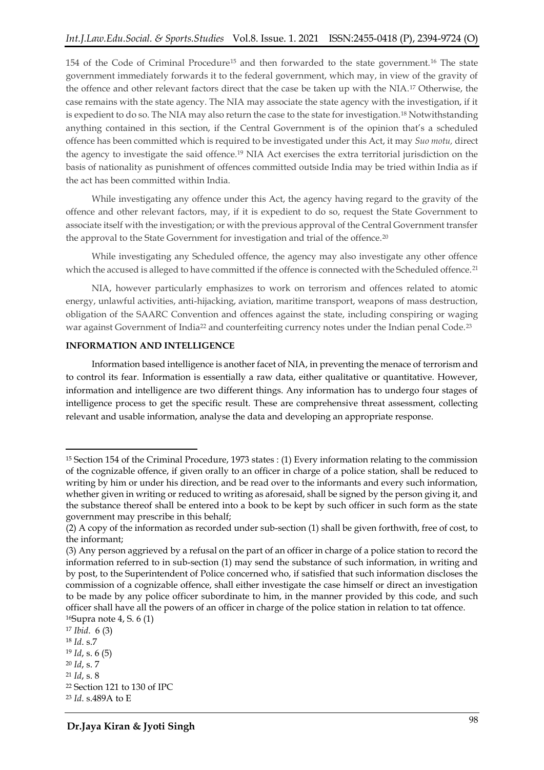154 of the Code of Criminal Procedure<sup>15</sup> and then forwarded to the state government.<sup>16</sup> The state government immediately forwards it to the federal government, which may, in view of the gravity of the offence and other relevant factors direct that the case be taken up with the NIA.<sup>17</sup> Otherwise, the case remains with the state agency. The NIA may associate the state agency with the investigation, if it is expedient to do so. The NIA may also return the case to the state for investigation.<sup>18</sup> Notwithstanding anything contained in this section, if the Central Government is of the opinion that's a scheduled offence has been committed which is required to be investigated under this Act, it may *Suo motu,* direct the agency to investigate the said offence.<sup>19</sup> NIA Act exercises the extra territorial jurisdiction on the basis of nationality as punishment of offences committed outside India may be tried within India as if the act has been committed within India.

While investigating any offence under this Act, the agency having regard to the gravity of the offence and other relevant factors, may, if it is expedient to do so, request the State Government to associate itself with the investigation; or with the previous approval of the Central Government transfer the approval to the State Government for investigation and trial of the offence.<sup>20</sup>

While investigating any Scheduled offence, the agency may also investigate any other offence which the accused is alleged to have committed if the offence is connected with the Scheduled offence.<sup>21</sup>

NIA, however particularly emphasizes to work on terrorism and offences related to atomic energy, unlawful activities, anti-hijacking, aviation, maritime transport, weapons of mass destruction, obligation of the SAARC Convention and offences against the state, including conspiring or waging war against Government of India<sup>22</sup> and counterfeiting currency notes under the Indian penal Code.<sup>23</sup>

#### **INFORMATION AND INTELLIGENCE**

Information based intelligence is another facet of NIA, in preventing the menace of terrorism and to control its fear. Information is essentially a raw data, either qualitative or quantitative. However, information and intelligence are two different things. Any information has to undergo four stages of intelligence process to get the specific result. These are comprehensive threat assessment, collecting relevant and usable information, analyse the data and developing an appropriate response.

<sup>15</sup> Section 154 of the Criminal Procedure, 1973 states : (1) Every information relating to the commission of the cognizable offence, if given orally to an officer in charge of a police station, shall be reduced to writing by him or under his direction, and be read over to the informants and every such information, whether given in writing or reduced to writing as aforesaid, shall be signed by the person giving it, and the substance thereof shall be entered into a book to be kept by such officer in such form as the state government may prescribe in this behalf;

<sup>(2)</sup> A copy of the information as recorded under sub-section (1) shall be given forthwith, free of cost, to the informant;

<sup>(3)</sup> Any person aggrieved by a refusal on the part of an officer in charge of a police station to record the information referred to in sub-section (1) may send the substance of such information, in writing and by post, to the Superintendent of Police concerned who, if satisfied that such information discloses the commission of a cognizable offence, shall either investigate the case himself or direct an investigation to be made by any police officer subordinate to him, in the manner provided by this code, and such officer shall have all the powers of an officer in charge of the police station in relation to tat offence. <sup>16</sup>Supra note 4, S. 6 (1)

<sup>17</sup> *Ibid*. 6 (3) <sup>18</sup> *Id*. s.7 <sup>19</sup> *Id*, s. 6 (5) <sup>20</sup> *Id*, s. 7 <sup>21</sup> *Id*, s. 8 <sup>22</sup> Section 121 to 130 of IPC

<sup>23</sup> *Id*. s.489A to E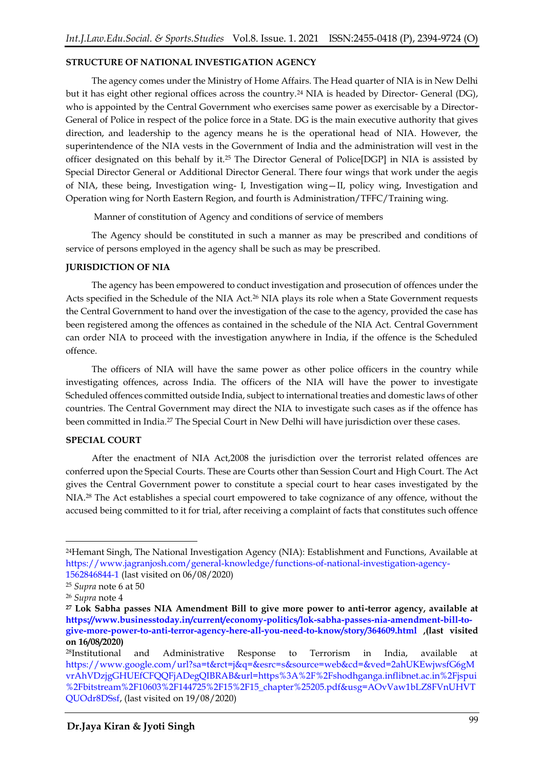# **STRUCTURE OF NATIONAL INVESTIGATION AGENCY**

The agency comes under the Ministry of Home Affairs. The Head quarter of NIA is in New Delhi but it has eight other regional offices across the country.<sup>24</sup> NIA is headed by Director- General (DG), who is appointed by the Central Government who exercises same power as exercisable by a Director-General of Police in respect of the police force in a State. DG is the main executive authority that gives direction, and leadership to the agency means he is the operational head of NIA. However, the superintendence of the NIA vests in the Government of India and the administration will vest in the officer designated on this behalf by it.<sup>25</sup> The Director General of Police[DGP] in NIA is assisted by Special Director General or Additional Director General. There four wings that work under the aegis of NIA, these being, Investigation wing- I, Investigation wing—II, policy wing, Investigation and Operation wing for North Eastern Region, and fourth is Administration/TFFC/Training wing.

Manner of constitution of Agency and conditions of service of members

The Agency should be constituted in such a manner as may be prescribed and conditions of service of persons employed in the agency shall be such as may be prescribed.

#### **JURISDICTION OF NIA**

The agency has been empowered to conduct investigation and prosecution of offences under the Acts specified in the Schedule of the NIA Act.<sup>26</sup> NIA plays its role when a State Government requests the Central Government to hand over the investigation of the case to the agency, provided the case has been registered among the offences as contained in the schedule of the NIA Act. Central Government can order NIA to proceed with the investigation anywhere in India, if the offence is the Scheduled offence.

The officers of NIA will have the same power as other police officers in the country while investigating offences, across India. The officers of the NIA will have the power to investigate Scheduled offences committed outside India, subject to international treaties and domestic laws of other countries. The Central Government may direct the NIA to investigate such cases as if the offence has been committed in India.<sup>27</sup> The Special Court in New Delhi will have jurisdiction over these cases.

#### **SPECIAL COURT**

After the enactment of NIA Act,2008 the jurisdiction over the terrorist related offences are conferred upon the Special Courts. These are Courts other than Session Court and High Court. The Act gives the Central Government power to constitute a special court to hear cases investigated by the NIA.<sup>28</sup> The Act establishes a special court empowered to take cognizance of any offence, without the accused being committed to it for trial, after receiving a complaint of facts that constitutes such offence

1

<sup>24</sup>Hemant Singh, The National Investigation Agency (NIA): Establishment and Functions, Available at [https://www.jagranjosh.com/general-knowledge/functions-of-national-investigation-agency-](https://www.jagranjosh.com/general-knowledge/functions-of-national-investigation-agency-1562846844-1)[1562846844-1](https://www.jagranjosh.com/general-knowledge/functions-of-national-investigation-agency-1562846844-1) (last visited on 06/08/2020)

<sup>25</sup> *Supra* note 6 at 50

<sup>26</sup> *Supra* note 4

**<sup>27</sup> Lok Sabha passes NIA Amendment Bill to give more power to anti-terror agency, available at [https://www.businesstoday.in/current/economy-politics/lok-sabha-passes-nia-amendment-bill-to](https://www.businesstoday.in/current/economy-politics/lok-sabha-passes-nia-amendment-bill-to-give-more-power-to-anti-terror-agency-here-all-you-need-to-know/story/364609.html)[give-more-power-to-anti-terror-agency-here-all-you-need-to-know/story/364609.html](https://www.businesstoday.in/current/economy-politics/lok-sabha-passes-nia-amendment-bill-to-give-more-power-to-anti-terror-agency-here-all-you-need-to-know/story/364609.html) ,(last visited on 16/08/2020)**

<sup>28</sup>Institutional and Administrative Response to Terrorism in India, available at [https://www.google.com/url?sa=t&rct=j&q=&esrc=s&source=web&cd=&ved=2ahUKEwjwsfG6gM](https://www.google.com/url?sa=t&rct=j&q=&esrc=s&source=web&cd=&ved=2ahUKEwjwsfG6gMvrAhVDzjgGHUEfCFQQFjADegQIBRAB&url=https%3A%2F%2Fshodhganga.inflibnet.ac.in%2Fjspui%2Fbitstream%2F10603%2F144725%2F15%2F15_chapter%25205.pdf&usg=AOvVaw1bLZ8FVnUHVTQUOdr8DSsf) [vrAhVDzjgGHUEfCFQQFjADegQIBRAB&url=https%3A%2F%2Fshodhganga.inflibnet.ac.in%2Fjspui](https://www.google.com/url?sa=t&rct=j&q=&esrc=s&source=web&cd=&ved=2ahUKEwjwsfG6gMvrAhVDzjgGHUEfCFQQFjADegQIBRAB&url=https%3A%2F%2Fshodhganga.inflibnet.ac.in%2Fjspui%2Fbitstream%2F10603%2F144725%2F15%2F15_chapter%25205.pdf&usg=AOvVaw1bLZ8FVnUHVTQUOdr8DSsf) [%2Fbitstream%2F10603%2F144725%2F15%2F15\\_chapter%25205.pdf&usg=AOvVaw1bLZ8FVnUHVT](https://www.google.com/url?sa=t&rct=j&q=&esrc=s&source=web&cd=&ved=2ahUKEwjwsfG6gMvrAhVDzjgGHUEfCFQQFjADegQIBRAB&url=https%3A%2F%2Fshodhganga.inflibnet.ac.in%2Fjspui%2Fbitstream%2F10603%2F144725%2F15%2F15_chapter%25205.pdf&usg=AOvVaw1bLZ8FVnUHVTQUOdr8DSsf) [QUOdr8DSsf,](https://www.google.com/url?sa=t&rct=j&q=&esrc=s&source=web&cd=&ved=2ahUKEwjwsfG6gMvrAhVDzjgGHUEfCFQQFjADegQIBRAB&url=https%3A%2F%2Fshodhganga.inflibnet.ac.in%2Fjspui%2Fbitstream%2F10603%2F144725%2F15%2F15_chapter%25205.pdf&usg=AOvVaw1bLZ8FVnUHVTQUOdr8DSsf) (last visited on 19/08/2020)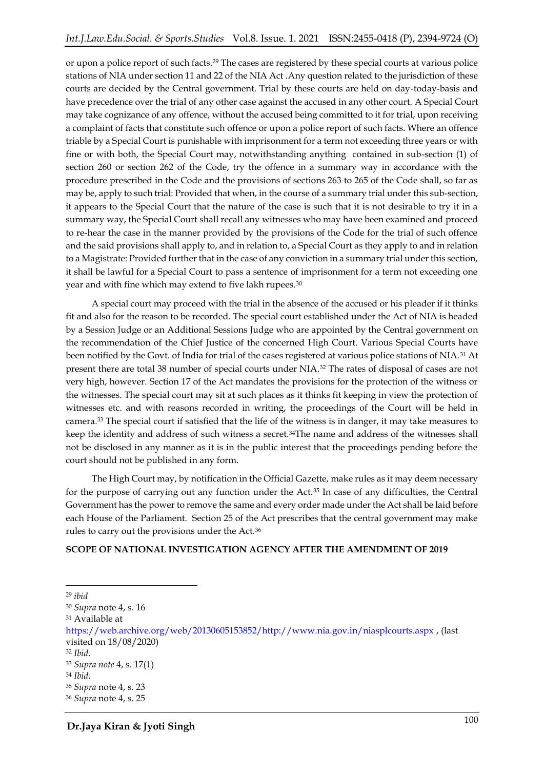or upon a police report of such facts.<sup>29</sup> The cases are registered by these special courts at various police stations of NIA under section 11 and 22 of the NIA Act .Any question related to the jurisdiction of these courts are decided by the Central government. Trial by these courts are held on day-today-basis and have precedence over the trial of any other case against the accused in any other court. A Special Court may take cognizance of any offence, without the accused being committed to it for trial, upon receiving a complaint of facts that constitute such offence or upon a police report of such facts. Where an offence triable by a Special Court is punishable with imprisonment for a term not exceeding three years or with fine or with both, the Special Court may, notwithstanding anything contained in sub-section (1) of section 260 or section 262 of the Code, try the offence in a summary way in accordance with the procedure prescribed in the Code and the provisions of sections 263 to 265 of the Code shall, so far as may be, apply to such trial: Provided that when, in the course of a summary trial under this sub-section, it appears to the Special Court that the nature of the case is such that it is not desirable to try it in a summary way, the Special Court shall recall any witnesses who may have been examined and proceed to re-hear the case in the manner provided by the provisions of the Code for the trial of such offence and the said provisions shall apply to, and in relation to, a Special Court as they apply to and in relation to a Magistrate: Provided further that in the case of any conviction in a summary trial under this section, it shall be lawful for a Special Court to pass a sentence of imprisonment for a term not exceeding one year and with fine which may extend to five lakh rupees.<sup>30</sup>

A special court may proceed with the trial in the absence of the accused or his pleader if it thinks fit and also for the reason to be recorded. The special court established under the Act of NIA is headed by a Session Judge or an Additional Sessions Judge who are appointed by the Central government on the recommendation of the Chief Justice of the concerned High Court. Various Special Courts have been notified by the Govt. of India for trial of the cases registered at various police stations of NIA.<sup>31</sup> At present there are total 38 number of special courts under NIA.<sup>32</sup> The rates of disposal of cases are not very high, however. Section 17 of the Act mandates the provisions for the protection of the witness or the witnesses. The special court may sit at such places as it thinks fit keeping in view the protection of witnesses etc. and with reasons recorded in writing, the proceedings of the Court will be held in camera.<sup>33</sup> The special court if satisfied that the life of the witness is in danger, it may take measures to keep the identity and address of such witness a secret.34The name and address of the witnesses shall not be disclosed in any manner as it is in the public interest that the proceedings pending before the court should not be published in any form.

The High Court may, by notification in the Official Gazette, make rules as it may deem necessary for the purpose of carrying out any function under the Act.<sup>35</sup> In case of any difficulties, the Central Government has the power to remove the same and every order made under the Act shall be laid before each House of the Parliament. Section 25 of the Act prescribes that the central government may make rules to carry out the provisions under the Act.<sup>36</sup>

### **SCOPE OF NATIONAL INVESTIGATION AGENCY AFTER THE AMENDMENT OF 2019**

<sup>29</sup> *ibid*

<sup>30</sup> *Supra* note 4, s. 16

<sup>31</sup> Available at

[https://web.archive.org/web/20130605153852/http://www.nia.gov.in/niasplcourts.aspx](https://web.archive.org/web/20130605153852/http:/www.nia.gov.in/niasplcourts.aspx) , (last visited on 18/08/2020)

<sup>32</sup> *Ibid.*

<sup>33</sup> *Supra note* 4, s. 17(1)

<sup>34</sup> *Ibid.*

<sup>35</sup> *Supra* note 4, s. 23

<sup>36</sup> *Supra* note 4, s. 25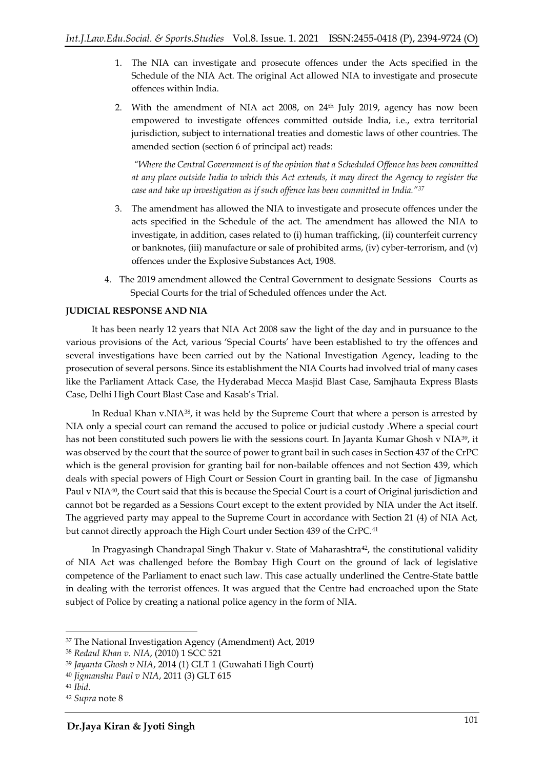- 1. The NIA can investigate and prosecute offences under the Acts specified in the Schedule of the NIA Act. The original Act allowed NIA to investigate and prosecute offences within India.
- 2. With the amendment of NIA act 2008, on 24<sup>th</sup> July 2019, agency has now been empowered to investigate offences committed outside India, i.e., extra territorial jurisdiction, subject to international treaties and domestic laws of other countries. The amended section (section 6 of principal act) reads:

*"Where the Central Government is of the opinion that a Scheduled Offence has been committed at any place outside India to which this Act extends, it may direct the Agency to register the case and take up investigation as if such offence has been committed in India."<sup>37</sup>*

- 3. The amendment has allowed the NIA to investigate and prosecute offences under the acts specified in the Schedule of the act. The amendment has allowed the NIA to investigate, in addition, cases related to (i) human trafficking, (ii) counterfeit currency or banknotes, (iii) manufacture or sale of prohibited arms, (iv) cyber-terrorism, and (v) offences under the Explosive Substances Act, 1908.
- 4. The 2019 amendment allowed the Central Government to designate Sessions Courts as Special Courts for the trial of Scheduled offences under the Act.

### **JUDICIAL RESPONSE AND NIA**

It has been nearly 12 years that NIA Act 2008 saw the light of the day and in pursuance to the various provisions of the Act, various 'Special Courts' have been established to try the offences and several investigations have been carried out by the National Investigation Agency, leading to the prosecution of several persons. Since its establishment the NIA Courts had involved trial of many cases like the Parliament Attack Case, the Hyderabad Mecca Masjid Blast Case, Samjhauta Express Blasts Case, Delhi High Court Blast Case and Kasab's Trial.

In Redual Khan v.NIA38, it was held by the Supreme Court that where a person is arrested by NIA only a special court can remand the accused to police or judicial custody .Where a special court has not been constituted such powers lie with the sessions court. In Jayanta Kumar Ghosh v NIA<sup>39</sup>, it was observed by the court that the source of power to grant bail in such cases in Section 437 of the CrPC which is the general provision for granting bail for non-bailable offences and not Section 439, which deals with special powers of High Court or Session Court in granting bail. In the case of Jigmanshu Paul v NIA<sup>40</sup>, the Court said that this is because the Special Court is a court of Original jurisdiction and cannot bot be regarded as a Sessions Court except to the extent provided by NIA under the Act itself. The aggrieved party may appeal to the Supreme Court in accordance with Section 21 (4) of NIA Act, but cannot directly approach the High Court under Section 439 of the CrPC.<sup>41</sup>

In Pragyasingh Chandrapal Singh Thakur v. State of Maharashtra<sup>42</sup>, the constitutional validity of NIA Act was challenged before the Bombay High Court on the ground of lack of legislative competence of the Parliament to enact such law. This case actually underlined the Centre-State battle in dealing with the terrorist offences. It was argued that the Centre had encroached upon the State subject of Police by creating a national police agency in the form of NIA.

**<sup>.</sup>** <sup>37</sup> The National Investigation Agency (Amendment) Act, 2019

<sup>38</sup> *Redaul Khan v. NIA*, (2010) 1 SCC 521

<sup>39</sup> *Jayanta Ghosh v NIA*, 2014 (1) GLT 1 (Guwahati High Court)

<sup>40</sup> *Jigmanshu Paul v NIA*, 2011 (3) GLT 615

<sup>41</sup> *Ibid.*

<sup>42</sup> *Supra* note 8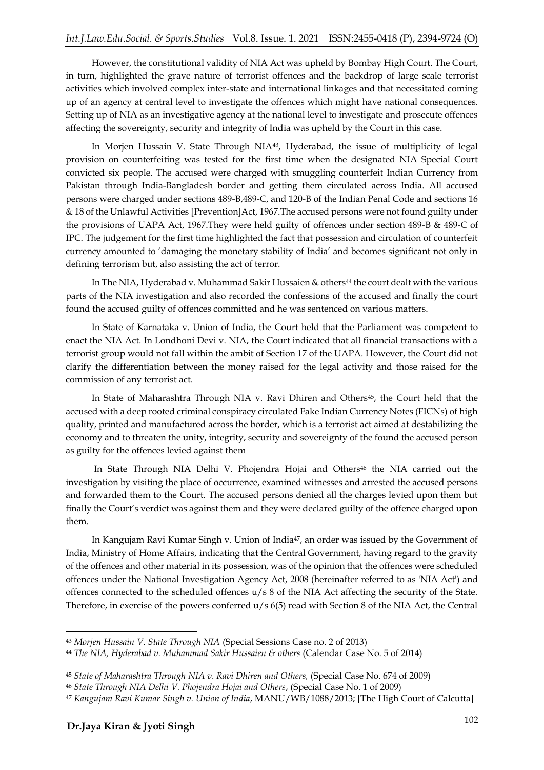However, the constitutional validity of NIA Act was upheld by Bombay High Court. The Court, in turn, highlighted the grave nature of terrorist offences and the backdrop of large scale terrorist activities which involved complex inter-state and international linkages and that necessitated coming up of an agency at central level to investigate the offences which might have national consequences. Setting up of NIA as an investigative agency at the national level to investigate and prosecute offences affecting the sovereignty, security and integrity of India was upheld by the Court in this case.

In Morjen Hussain V. State Through NIA<sup>43</sup> , Hyderabad, the issue of multiplicity of legal provision on counterfeiting was tested for the first time when the designated NIA Special Court convicted six people. The accused were charged with smuggling counterfeit Indian Currency from Pakistan through India-Bangladesh border and getting them circulated across India. All accused persons were charged under sections 489-B,489-C, and 120-B of the Indian Penal Code and sections 16 & 18 of the Unlawful Activities [Prevention]Act, 1967.The accused persons were not found guilty under the provisions of UAPA Act, 1967.They were held guilty of offences under section 489-B & 489-C of IPC. The judgement for the first time highlighted the fact that possession and circulation of counterfeit currency amounted to 'damaging the monetary stability of India' and becomes significant not only in defining terrorism but, also assisting the act of terror.

In The NIA, Hyderabad v. Muhammad Sakir Hussaien & others<sup>44</sup> the court dealt with the various parts of the NIA investigation and also recorded the confessions of the accused and finally the court found the accused guilty of offences committed and he was sentenced on various matters.

In State of Karnataka v. Union of India, the Court held that the Parliament was competent to enact the NIA Act. In Londhoni Devi v. NIA, the Court indicated that all financial transactions with a terrorist group would not fall within the ambit of Section 17 of the UAPA. However, the Court did not clarify the differentiation between the money raised for the legal activity and those raised for the commission of any terrorist act.

In State of Maharashtra Through NIA v. Ravi Dhiren and Others<sup>45</sup>, the Court held that the accused with a deep rooted criminal conspiracy circulated Fake Indian Currency Notes (FICNs) of high quality, printed and manufactured across the border, which is a terrorist act aimed at destabilizing the economy and to threaten the unity, integrity, security and sovereignty of the found the accused person as guilty for the offences levied against them

In State Through NIA Delhi V. Phojendra Hojai and Others<sup>46</sup> the NIA carried out the investigation by visiting the place of occurrence, examined witnesses and arrested the accused persons and forwarded them to the Court. The accused persons denied all the charges levied upon them but finally the Court's verdict was against them and they were declared guilty of the offence charged upon them.

In Kangujam Ravi Kumar Singh v. Union of India<sup>47</sup>, an order was issued by the Government of India, Ministry of Home Affairs, indicating that the Central Government, having regard to the gravity of the offences and other material in its possession, was of the opinion that the offences were scheduled offences under the National Investigation Agency Act, 2008 (hereinafter referred to as 'NIA Act') and offences connected to the scheduled offences u/s 8 of the NIA Act affecting the security of the State. Therefore, in exercise of the powers conferred u/s 6(5) read with Section 8 of the NIA Act, the Central

 $\overline{a}$ 

<sup>43</sup> *Morjen Hussain V. State Through NIA* (Special Sessions Case no. 2 of 2013)

<sup>44</sup> *The NIA, Hyderabad v. Muhammad Sakir Hussaien & others* (Calendar Case No. 5 of 2014)

<sup>45</sup> *State of Maharashtra Through NIA v. Ravi Dhiren and Others,* (Special Case No. 674 of 2009)

<sup>46</sup> *State Through NIA Delhi V. Phojendra Hojai and Others*, (Special Case No. 1 of 2009)

<sup>47</sup> *Kangujam Ravi Kumar Singh v. Union of India*, MANU/WB/1088/2013; [The High Court of Calcutta]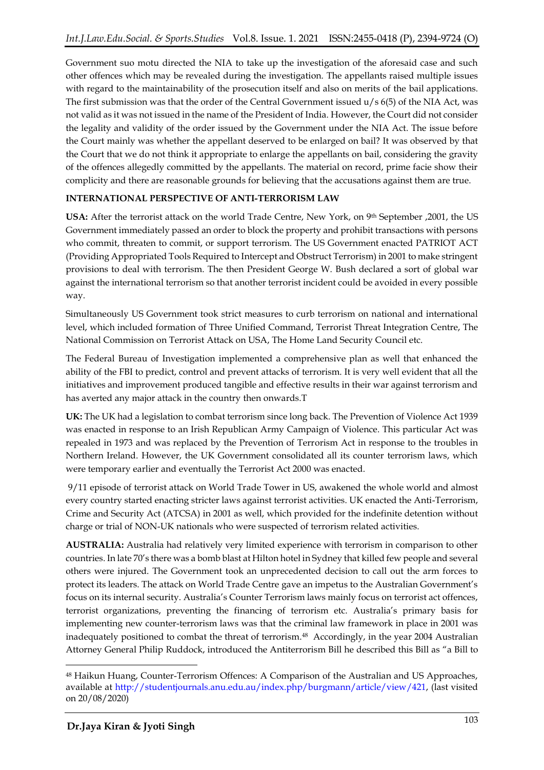Government suo motu directed the NIA to take up the investigation of the aforesaid case and such other offences which may be revealed during the investigation. The appellants raised multiple issues with regard to the maintainability of the prosecution itself and also on merits of the bail applications. The first submission was that the order of the Central Government issued  $u/s$  6(5) of the NIA Act, was not valid as it was not issued in the name of the President of India. However, the Court did not consider the legality and validity of the order issued by the Government under the NIA Act. The issue before the Court mainly was whether the appellant deserved to be enlarged on bail? It was observed by that the Court that we do not think it appropriate to enlarge the appellants on bail, considering the gravity of the offences allegedly committed by the appellants. The material on record, prime facie show their complicity and there are reasonable grounds for believing that the accusations against them are true.

# **INTERNATIONAL PERSPECTIVE OF ANTI-TERRORISM LAW**

**USA:** After the terrorist attack on the world Trade Centre, New York, on 9th September ,2001, the US Government immediately passed an order to block the property and prohibit transactions with persons who commit, threaten to commit, or support terrorism. The US Government enacted PATRIOT ACT (Providing Appropriated Tools Required to Intercept and Obstruct Terrorism) in 2001 to make stringent provisions to deal with terrorism. The then President George W. Bush declared a sort of global war against the international terrorism so that another terrorist incident could be avoided in every possible way.

Simultaneously US Government took strict measures to curb terrorism on national and international level, which included formation of Three Unified Command, Terrorist Threat Integration Centre, The National Commission on Terrorist Attack on USA, The Home Land Security Council etc.

The Federal Bureau of Investigation implemented a comprehensive plan as well that enhanced the ability of the FBI to predict, control and prevent attacks of terrorism. It is very well evident that all the initiatives and improvement produced tangible and effective results in their war against terrorism and has averted any major attack in the country then onwards.T

**UK:** The UK had a legislation to combat terrorism since long back. The Prevention of Violence Act 1939 was enacted in response to an Irish Republican Army Campaign of Violence. This particular Act was repealed in 1973 and was replaced by the Prevention of Terrorism Act in response to the troubles in Northern Ireland. However, the UK Government consolidated all its counter terrorism laws, which were temporary earlier and eventually the Terrorist Act 2000 was enacted.

9/11 episode of terrorist attack on World Trade Tower in US, awakened the whole world and almost every country started enacting stricter laws against terrorist activities. UK enacted the Anti-Terrorism, Crime and Security Act (ATCSA) in 2001 as well, which provided for the indefinite detention without charge or trial of NON-UK nationals who were suspected of terrorism related activities.

**AUSTRALIA:** Australia had relatively very limited experience with terrorism in comparison to other countries. In late 70's there was a bomb blast at Hilton hotel in Sydney that killed few people and several others were injured. The Government took an unprecedented decision to call out the arm forces to protect its leaders. The attack on World Trade Centre gave an impetus to the Australian Government's focus on its internal security. Australia's Counter Terrorism laws mainly focus on terrorist act offences, terrorist organizations, preventing the financing of terrorism etc. Australia's primary basis for implementing new counter-terrorism laws was that the criminal law framework in place in 2001 was inadequately positioned to combat the threat of terrorism. 48 Accordingly, in the year 2004 Australian Attorney General Philip Ruddock, introduced the Antiterrorism Bill he described this Bill as "a Bill to

<sup>48</sup> Haikun Huang, Counter-Terrorism Offences: A Comparison of the Australian and US Approaches, available at [http://studentjournals.anu.edu.au/index.php/burgmann/article/view/421,](http://studentjournals.anu.edu.au/index.php/burgmann/article/view/421) (last visited on 20/08/2020)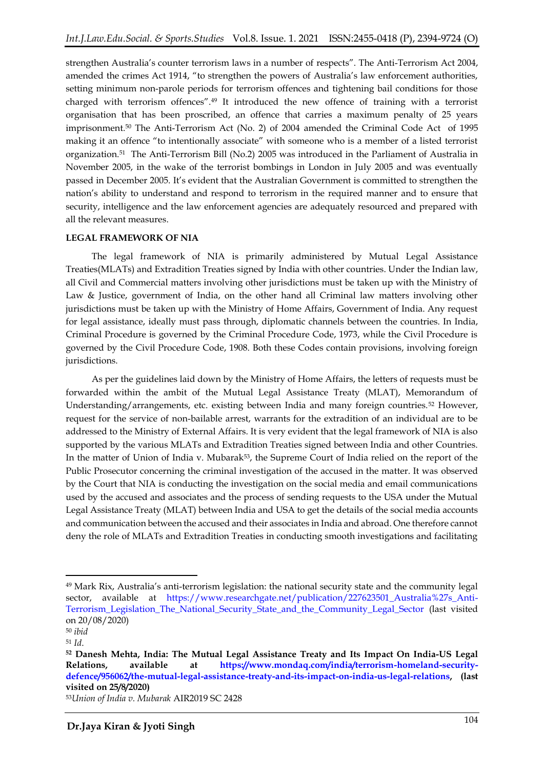strengthen Australia's counter terrorism laws in a number of respects". The Anti-Terrorism Act 2004, amended the crimes Act 1914, "to strengthen the powers of Australia's law enforcement authorities, setting minimum non-parole periods for terrorism offences and tightening bail conditions for those charged with terrorism offences".<sup>49</sup> It introduced the new offence of training with a terrorist organisation that has been proscribed, an offence that carries a maximum penalty of 25 years imprisonment.<sup>50</sup> The Anti-Terrorism Act (No. 2) of 2004 amended the Criminal Code Act of 1995 making it an offence "to intentionally associate" with someone who is a member of a listed terrorist organization.<sup>51</sup> The Anti-Terrorism Bill (No.2) 2005 was introduced in the Parliament of Australia in November 2005, in the wake of the terrorist bombings in London in July 2005 and was eventually passed in December 2005. It's evident that the Australian Government is committed to strengthen the nation's ability to understand and respond to terrorism in the required manner and to ensure that security, intelligence and the law enforcement agencies are adequately resourced and prepared with all the relevant measures.

### **LEGAL FRAMEWORK OF NIA**

The legal framework of NIA is primarily administered by Mutual Legal Assistance Treaties(MLATs) and Extradition Treaties signed by India with other countries. Under the Indian law, all Civil and Commercial matters involving other jurisdictions must be taken up with the Ministry of Law & Justice, government of India, on the other hand all Criminal law matters involving other jurisdictions must be taken up with the Ministry of Home Affairs, Government of India. Any request for legal assistance, ideally must pass through, diplomatic channels between the countries. In India, Criminal Procedure is governed by the Criminal Procedure Code, 1973, while the Civil Procedure is governed by the Civil Procedure Code, 1908. Both these Codes contain provisions, involving foreign jurisdictions.

As per the guidelines laid down by the Ministry of Home Affairs, the letters of requests must be forwarded within the ambit of the Mutual Legal Assistance Treaty (MLAT), Memorandum of Understanding/arrangements, etc. existing between India and many foreign countries.<sup>52</sup> However, request for the service of non-bailable arrest, warrants for the extradition of an individual are to be addressed to the Ministry of External Affairs. It is very evident that the legal framework of NIA is also supported by the various MLATs and Extradition Treaties signed between India and other Countries. In the matter of Union of India v. Mubarak<sup>53</sup>, the Supreme Court of India relied on the report of the Public Prosecutor concerning the criminal investigation of the accused in the matter. It was observed by the Court that NIA is conducting the investigation on the social media and email communications used by the accused and associates and the process of sending requests to the USA under the Mutual Legal Assistance Treaty (MLAT) between India and USA to get the details of the social media accounts and communication between the accused and their associates in India and abroad. One therefore cannot deny the role of MLATs and Extradition Treaties in conducting smooth investigations and facilitating

 $\overline{a}$ 

<sup>49</sup> Mark Rix, Australia's anti-terrorism legislation: the national security state and the community legal sector, available at [https://www.researchgate.net/publication/227623501\\_Australia%27s\\_Anti-](https://www.researchgate.net/publication/227623501_Australia%27s_Anti-Terrorism_Legislation_The_National_Security_State_and_the_Community_Legal_Sector)[Terrorism\\_Legislation\\_The\\_National\\_Security\\_State\\_and\\_the\\_Community\\_Legal\\_Sector](https://www.researchgate.net/publication/227623501_Australia%27s_Anti-Terrorism_Legislation_The_National_Security_State_and_the_Community_Legal_Sector) (last visited on 20/08/2020)

<sup>50</sup> *ibid*

<sup>51</sup> *Id*.

**<sup>52</sup> Danesh Mehta, India: The Mutual Legal Assistance Treaty and Its Impact On India-US Legal Relations, available at [https://www.mondaq.com/india/terrorism-homeland-security](https://www.mondaq.com/india/terrorism-homeland-security-defence/956062/the-mutual-legal-assistance-treaty-and-its-impact-on-india-us-legal-relations)[defence/956062/the-mutual-legal-assistance-treaty-and-its-impact-on-india-us-legal-relations,](https://www.mondaq.com/india/terrorism-homeland-security-defence/956062/the-mutual-legal-assistance-treaty-and-its-impact-on-india-us-legal-relations) (last visited on 25/8/2020)**

<sup>53</sup>*Union of India v. Mubarak* AIR2019 SC 2428